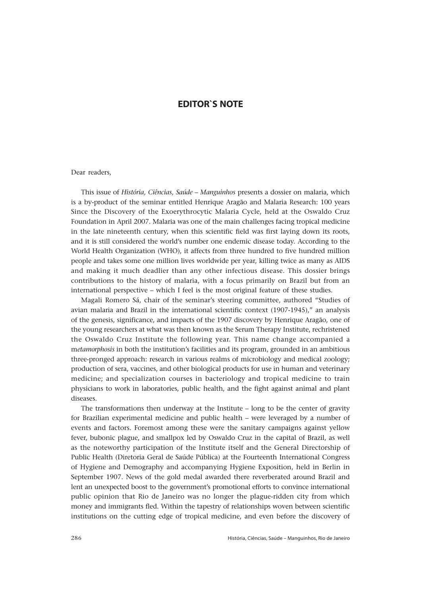## **EDITOR`S NOTE**

## Dear readers,

This issue of *História, Ciências, Saúde – Manguinhos* presents a dossier on malaria, which is a by-product of the seminar entitled Henrique Aragão and Malaria Research: 100 years Since the Discovery of the Exoerythrocytic Malaria Cycle, held at the Oswaldo Cruz Foundation in April 2007. Malaria was one of the main challenges facing tropical medicine in the late nineteenth century, when this scientific field was first laying down its roots, and it is still considered the world's number one endemic disease today. According to the World Health Organization (WHO), it affects from three hundred to five hundred million people and takes some one million lives worldwide per year, killing twice as many as AIDS and making it much deadlier than any other infectious disease. This dossier brings contributions to the history of malaria, with a focus primarily on Brazil but from an international perspective – which I feel is the most original feature of these studies.

Magali Romero Sá, chair of the seminar's steering committee, authored "Studies of avian malaria and Brazil in the international scientific context (1907-1945)," an analysis of the genesis, significance, and impacts of the 1907 discovery by Henrique Aragão, one of the young researchers at what was then known as the Serum Therapy Institute, rechristened the Oswaldo Cruz Institute the following year. This name change accompanied a m*etamorphosis* in both the institution's facilities and its program, grounded in an ambitious three-pronged approach: research in various realms of microbiology and medical zoology; production of sera, vaccines, and other biological products for use in human and veterinary medicine; and specialization courses in bacteriology and tropical medicine to train physicians to work in laboratories, public health, and the fight against animal and plant diseases.

The transformations then underway at the Institute – long to be the center of gravity for Brazilian experimental medicine and public health – were leveraged by a number of events and factors. Foremost among these were the sanitary campaigns against yellow fever, bubonic plague, and smallpox led by Oswaldo Cruz in the capital of Brazil, as well as the noteworthy participation of the Institute itself and the General Directorship of Public Health (Diretoria Geral de Saúde Pública) at the Fourteenth International Congress of Hygiene and Demography and accompanying Hygiene Exposition, held in Berlin in September 1907. News of the gold medal awarded there reverberated around Brazil and lent an unexpected boost to the government's promotional efforts to convince international public opinion that Rio de Janeiro was no longer the plague-ridden city from which money and immigrants fled. Within the tapestry of relationships woven between scientific institutions on the cutting edge of tropical medicine, and even before the discovery of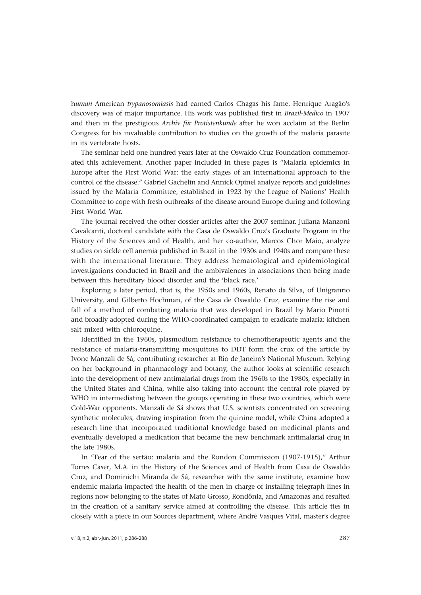h*uman* American *trypanosomiasis* had earned Carlos Chagas his fame, Henrique Aragão's discovery was of major importance. His work was published first in *Brazil-Medico* in 1907 and then in the prestigious *Archiv für Protistenkunde* after he won acclaim at the Berlin Congress for his invaluable contribution to studies on the growth of the malaria parasite in its vertebrate hosts.

The seminar held one hundred years later at the Oswaldo Cruz Foundation commemorated this achievement. Another paper included in these pages is "Malaria epidemics in Europe after the First World War: the early stages of an international approach to the control of the disease." Gabriel Gachelin and Annick Opinel analyze reports and guidelines issued by the Malaria Committee, established in 1923 by the League of Nations' Health Committee to cope with fresh outbreaks of the disease around Europe during and following First World War.

The journal received the other dossier articles after the 2007 seminar. Juliana Manzoni Cavalcanti, doctoral candidate with the Casa de Oswaldo Cruz's Graduate Program in the History of the Sciences and of Health, and her co-author, Marcos Chor Maio, analyze studies on sickle cell anemia published in Brazil in the 1930s and 1940s and compare these with the international literature. They address hematological and epidemiological investigations conducted in Brazil and the ambivalences in associations then being made between this hereditary blood disorder and the 'black race.'

Exploring a later period, that is, the 1950s and 1960s, Renato da Silva, of Unigranrio University, and Gilberto Hochman, of the Casa de Oswaldo Cruz, examine the rise and fall of a method of combating malaria that was developed in Brazil by Mario Pinotti and broadly adopted during the WHO-coordinated campaign to eradicate malaria: kitchen salt mixed with chloroquine.

Identified in the 1960s, plasmodium resistance to chemotherapeutic agents and the resistance of malaria-transmitting mosquitoes to DDT form the crux of the article by Ivone Manzali de Sá*,* contributing researcher at Rio de Janeiro's National Museum. Relying on her background in pharmacology and botany, the author looks at scientific research into the development of new antimalarial drugs from the 1960s to the 1980s, especially in the United States and China, while also taking into account the central role played by WHO in intermediating between the groups operating in these two countries, which were Cold-War opponents. Manzali de Sá shows that U.S. scientists concentrated on screening synthetic molecules, drawing inspiration from the quinine model, while China adopted a research line that incorporated traditional knowledge based on medicinal plants and eventually developed a medication that became the new benchmark antimalarial drug in the late 1980s.

In "Fear of the sertão: malaria and the Rondon Commission (1907-1915)," Arthur Torres Caser*,* M.A. in the History of the Sciences and of Health from Casa de Oswaldo Cruz, and Dominichi Miranda de Sá*,* researcher with the same institute, examine how endemic malaria impacted the health of the men in charge of installing telegraph lines in regions now belonging to the states of Mato Grosso, Rondônia, and Amazonas and resulted in the creation of a sanitary service aimed at controlling the disease. This article ties in closely with a piece in our Sources department, where André Vasques Vital, master's degree